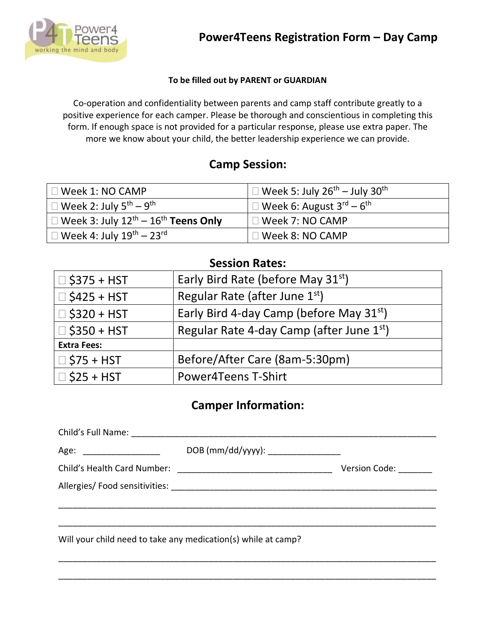

#### **To be filled out by PARENT or GUARDIAN**

Co-operation and confidentiality between parents and camp staff contribute greatly to a positive experience for each camper. Please be thorough and conscientious in completing this form. If enough space is not provided for a particular response, please use extra paper. The more we know about your child, the better leadership experience we can provide.

### **Camp Session:**

| $\Box$ Week 1: NO CAMP                                                | $\perp \Box$ Week 5: July 26 <sup>th</sup> – July 30 <sup>th</sup>   |
|-----------------------------------------------------------------------|----------------------------------------------------------------------|
| $^{\prime}$ $\Box$ Week 2: July 5 <sup>th</sup> – 9 <sup>th</sup> .   | $\mathsf{l} \ \Box$ Week 6: August 3 <sup>rd</sup> – 6 <sup>th</sup> |
| $\Box$ Week 3: July $12^{\text{th}} - 16^{\text{th}}$ Teens Only      | $\square$ Week 7: NO CAMP                                            |
| $^{\prime}$ $\Box$ Week 4: July 19 <sup>th</sup> – 23 <sup>rd</sup> . | $\Box$ Week 8: NO CAMP                                               |

### **Session Rates:**

| $\Box$ \$375 + HST | Early Bird Rate (before May 31 <sup>st</sup> ) |
|--------------------|------------------------------------------------|
| $\Box$ \$425 + HST | Regular Rate (after June 1st)                  |
| $\Box$ \$320 + HST | Early Bird 4-day Camp (before May $31st$ )     |
| $\Box$ \$350 + HST | Regular Rate 4-day Camp (after June 1st)       |
| <b>Extra Fees:</b> |                                                |
| $\Box$ \$75 + HST  | Before/After Care (8am-5:30pm)                 |
| $\Box$ \$25 + HST  | <b>Power4Teens T-Shirt</b>                     |

### **Camper Information:**

| Age: ________________________ | DOB (mm/dd/yyyy): ________________                            |                      |
|-------------------------------|---------------------------------------------------------------|----------------------|
|                               |                                                               | <b>Version Code:</b> |
|                               |                                                               |                      |
|                               |                                                               |                      |
|                               |                                                               |                      |
|                               | Will your child need to take any medication(s) while at camp? |                      |

\_\_\_\_\_\_\_\_\_\_\_\_\_\_\_\_\_\_\_\_\_\_\_\_\_\_\_\_\_\_\_\_\_\_\_\_\_\_\_\_\_\_\_\_\_\_\_\_\_\_\_\_\_\_\_\_\_\_\_\_\_\_\_\_\_\_\_\_\_\_\_\_\_\_\_\_\_\_

\_\_\_\_\_\_\_\_\_\_\_\_\_\_\_\_\_\_\_\_\_\_\_\_\_\_\_\_\_\_\_\_\_\_\_\_\_\_\_\_\_\_\_\_\_\_\_\_\_\_\_\_\_\_\_\_\_\_\_\_\_\_\_\_\_\_\_\_\_\_\_\_\_\_\_\_\_\_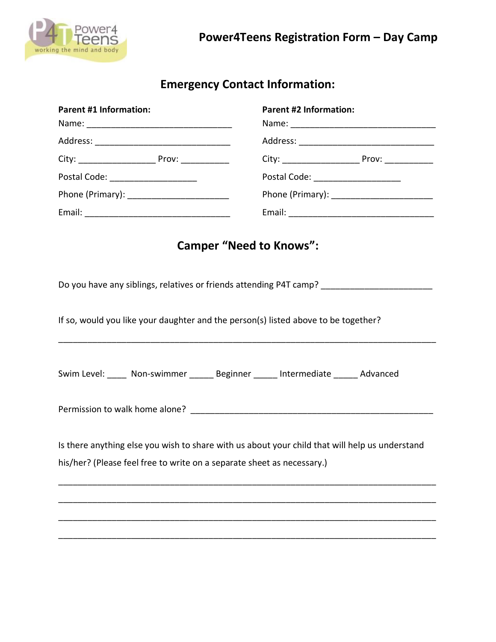

# **Emergency Contact Information:**

| <b>Parent #1 Information:</b>                                          | <b>Parent #2 Information:</b>                                                                  |  |
|------------------------------------------------------------------------|------------------------------------------------------------------------------------------------|--|
|                                                                        |                                                                                                |  |
|                                                                        |                                                                                                |  |
|                                                                        |                                                                                                |  |
| Postal Code: ______________________                                    | Postal Code: _______________________                                                           |  |
|                                                                        | Phone (Primary): _________________________                                                     |  |
|                                                                        |                                                                                                |  |
|                                                                        | <b>Camper "Need to Knows":</b>                                                                 |  |
|                                                                        | Do you have any siblings, relatives or friends attending P4T camp? ____________________        |  |
|                                                                        | If so, would you like your daughter and the person(s) listed above to be together?             |  |
|                                                                        | Swim Level: _____ Non-swimmer ______ Beginner _____ Intermediate _____ Advanced                |  |
|                                                                        |                                                                                                |  |
|                                                                        | Is there anything else you wish to share with us about your child that will help us understand |  |
| his/her? (Please feel free to write on a separate sheet as necessary.) |                                                                                                |  |
|                                                                        |                                                                                                |  |
|                                                                        |                                                                                                |  |
|                                                                        |                                                                                                |  |
|                                                                        |                                                                                                |  |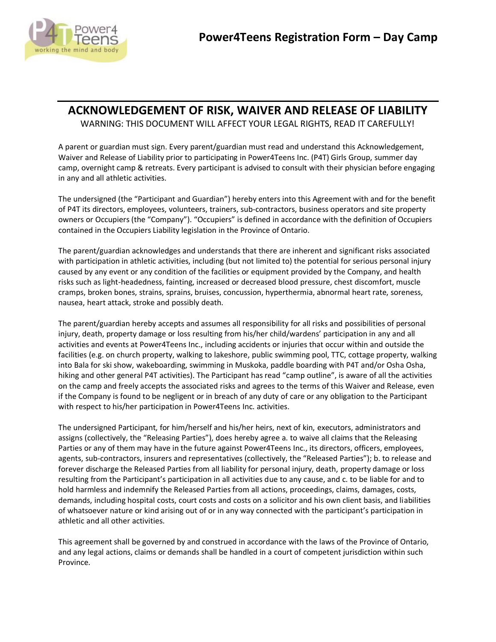

### **ACKNOWLEDGEMENT OF RISK, WAIVER AND RELEASE OF LIABILITY**

WARNING: THIS DOCUMENT WILL AFFECT YOUR LEGAL RIGHTS, READ IT CAREFULLY!

A parent or guardian must sign. Every parent/guardian must read and understand this Acknowledgement, Waiver and Release of Liability prior to participating in Power4Teens Inc. (P4T) Girls Group, summer day camp, overnight camp & retreats. Every participant is advised to consult with their physician before engaging in any and all athletic activities.

The undersigned (the "Participant and Guardian") hereby enters into this Agreement with and for the benefit of P4T its directors, employees, volunteers, trainers, sub-contractors, business operators and site property owners or Occupiers (the "Company"). "Occupiers" is defined in accordance with the definition of Occupiers contained in the Occupiers Liability legislation in the Province of Ontario.

The parent/guardian acknowledges and understands that there are inherent and significant risks associated with participation in athletic activities, including (but not limited to) the potential for serious personal injury caused by any event or any condition of the facilities or equipment provided by the Company, and health risks such as light-headedness, fainting, increased or decreased blood pressure, chest discomfort, muscle cramps, broken bones, strains, sprains, bruises, concussion, hyperthermia, abnormal heart rate, soreness, nausea, heart attack, stroke and possibly death.

The parent/guardian hereby accepts and assumes all responsibility for all risks and possibilities of personal injury, death, property damage or loss resulting from his/her child/wardens' participation in any and all activities and events at Power4Teens Inc., including accidents or injuries that occur within and outside the facilities (e.g. on church property, walking to lakeshore, public swimming pool, TTC, cottage property, walking into Bala for ski show, wakeboarding, swimming in Muskoka, paddle boarding with P4T and/or Osha Osha, hiking and other general P4T activities). The Participant has read "camp outline", is aware of all the activities on the camp and freely accepts the associated risks and agrees to the terms of this Waiver and Release, even if the Company is found to be negligent or in breach of any duty of care or any obligation to the Participant with respect to his/her participation in Power4Teens Inc. activities.

The undersigned Participant, for him/herself and his/her heirs, next of kin, executors, administrators and assigns (collectively, the "Releasing Parties"), does hereby agree a. to waive all claims that the Releasing Parties or any of them may have in the future against Power4Teens Inc., its directors, officers, employees, agents, sub-contractors, insurers and representatives (collectively, the "Released Parties"); b. to release and forever discharge the Released Parties from all liability for personal injury, death, property damage or loss resulting from the Participant's participation in all activities due to any cause, and c. to be liable for and to hold harmless and indemnify the Released Parties from all actions, proceedings, claims, damages, costs, demands, including hospital costs, court costs and costs on a solicitor and his own client basis, and liabilities of whatsoever nature or kind arising out of or in any way connected with the participant's participation in athletic and all other activities.

This agreement shall be governed by and construed in accordance with the laws of the Province of Ontario, and any legal actions, claims or demands shall be handled in a court of competent jurisdiction within such Province.